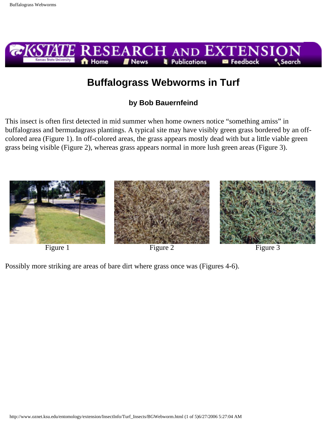

## **Buffalograss Webworms in Turf**

## **by Bob Bauernfeind**

This insect is often first detected in mid summer when home owners notice "something amiss" in buffalograss and bermudagrass plantings. A typical site may have visibly green grass bordered by an offcolored area (Figure 1). In off-colored areas, the grass appears mostly dead with but a little viable green grass being visible (Figure 2), whereas grass appears normal in more lush green areas (Figure 3).



Possibly more striking are areas of bare dirt where grass once was (Figures 4-6).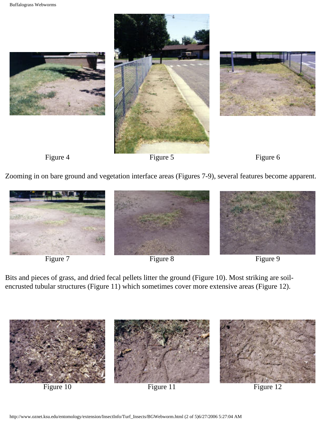







Zooming in on bare ground and vegetation interface areas (Figures 7-9), several features become apparent.







Bits and pieces of grass, and dried fecal pellets litter the ground (Figure 10). Most striking are soilencrusted tubular structures (Figure 11) which sometimes cover more extensive areas (Figure 12).

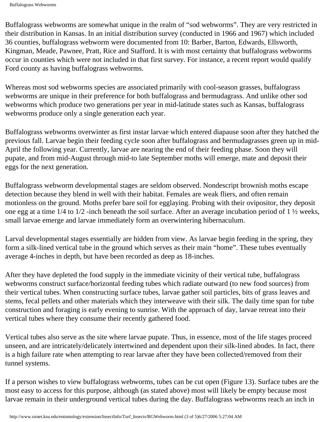Buffalograss webworms are somewhat unique in the realm of "sod webworms". They are very restricted in their distribution in Kansas. In an initial distribution survey (conducted in 1966 and 1967) which included 36 counties, buffalograss webworm were documented from 10: Barber, Barton, Edwards, Ellsworth, Kingman, Meade, Pawnee, Pratt, Rice and Stafford. It is with most certainty that buffalograss webworms occur in counties which were not included in that first survey. For instance, a recent report would qualify Ford county as having buffalograss webworms.

Whereas most sod webworms species are associated primarily with cool-season grasses, buffalograss webworms are unique in their preference for both buffalograss and bermudagrass. And unlike other sod webworms which produce two generations per year in mid-latitude states such as Kansas, buffalograss webworms produce only a single generation each year.

Buffalograss webworms overwinter as first instar larvae which entered diapause soon after they hatched the previous fall. Larvae begin their feeding cycle soon after buffalograss and bermudagrasses green up in mid-April the following year. Currently, larvae are nearing the end of their feeding phase. Soon they will pupate, and from mid-August through mid-to late September moths will emerge, mate and deposit their eggs for the next generation.

Buffalograss webworm developmental stages are seldom observed. Nondescript brownish moths escape detection because they blend in well with their habitat. Females are weak fliers, and often remain motionless on the ground. Moths prefer bare soil for egglaying. Probing with their ovipositor, they deposit one egg at a time 1/4 to 1/2 -inch beneath the soil surface. After an average incubation period of 1 ½ weeks, small larvae emerge and larvae immediately form an overwintering hibernaculum.

Larval developmental stages essentially are hidden from view. As larvae begin feeding in the spring, they form a silk-lined vertical tube in the ground which serves as their main "home". These tubes eventually average 4-inches in depth, but have been recorded as deep as 18-inches.

After they have depleted the food supply in the immediate vicinity of their vertical tube, buffalograss webworms construct surface/horizontal feeding tubes which radiate outward (to new food sources) from their vertical tubes. When constructing surface tubes, larvae gather soil particles, bits of grass leaves and stems, fecal pellets and other materials which they interweave with their silk. The daily time span for tube construction and foraging is early evening to sunrise. With the approach of day, larvae retreat into their vertical tubes where they consume their recently gathered food.

Vertical tubes also serve as the site where larvae pupate. Thus, in essence, most of the life stages proceed unseen, and are intricately/delicately intertwined and dependent upon their silk-lined abodes. In fact, there is a high failure rate when attempting to rear larvae after they have been collected/removed from their tunnel systems.

If a person wishes to view buffalograss webworms, tubes can be cut open (Figure 13). Surface tubes are the most easy to access for this purpose, although (as stated above) most will likely be empty because most larvae remain in their underground vertical tubes during the day. Buffalograss webworms reach an inch in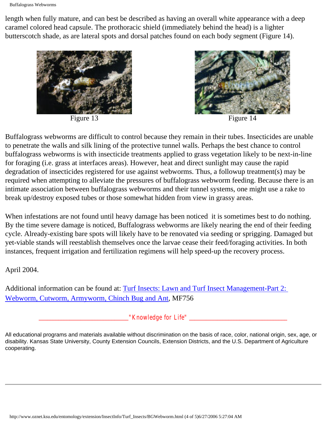length when fully mature, and can best be described as having an overall white appearance with a deep caramel colored head capsule. The prothoracic shield (immediately behind the head) is a lighter butterscotch shade, as are lateral spots and dorsal patches found on each body segment (Figure 14).





Buffalograss webworms are difficult to control because they remain in their tubes. Insecticides are unable to penetrate the walls and silk lining of the protective tunnel walls. Perhaps the best chance to control buffalograss webworms is with insecticide treatments applied to grass vegetation likely to be next-in-line for foraging (i.e. grass at interfaces areas). However, heat and direct sunlight may cause the rapid degradation of insecticides registered for use against webworms. Thus, a followup treatment(s) may be required when attempting to alleviate the pressures of buffalograss webworm feeding. Because there is an intimate association between buffalograss webworms and their tunnel systems, one might use a rake to break up/destroy exposed tubes or those somewhat hidden from view in grassy areas.

When infestations are not found until heavy damage has been noticed it is sometimes best to do nothing. By the time severe damage is noticed, Buffalograss webworms are likely nearing the end of their feeding cycle. Already-existing bare spots will likely have to be renovated via seeding or sprigging. Damaged but yet-viable stands will reestablish themselves once the larvae cease their feed/foraging activities. In both instances, frequent irrigation and fertilization regimens will help speed-up the recovery process.

April 2004.

Additional information can be found at: [Turf Insects: Lawn and Turf Insect Management-Part 2:](http://www.oznet.ksu.edu/library/entml2/samplers/mf756.asp) [Webworm, Cutworm, Armyworm, Chinch Bug and Ant,](http://www.oznet.ksu.edu/library/entml2/samplers/mf756.asp) MF756

*\_\_\_\_\_\_\_\_\_\_\_\_\_\_\_\_\_\_\_\_\_\_\_\_\_\_\_\_\_\_\_\_"Knowledge for Life" \_\_\_\_\_\_\_\_\_\_\_\_\_\_\_\_\_\_\_\_\_\_\_\_\_\_\_\_\_\_\_\_\_\_\_*

All educational programs and materials available without discrimination on the basis of race, color, national origin, sex, age, or disability. Kansas State University, County Extension Councils, Extension Districts, and the U.S. Department of Agriculture cooperating.